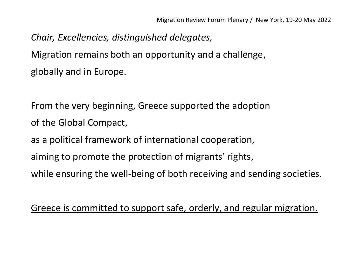*Chair, Excellencies, distinguished delegates,* Migration remains both an opportunity and a challenge, globally and in Europe.

From the very beginning, Greece supported the adoption of the Global Compact,

as a political framework of international cooperation,

aiming to promote the protection of migrants' rights,

while ensuring the well-being of both receiving and sending societies.

Greece is committed to support safe, orderly, and regular migration.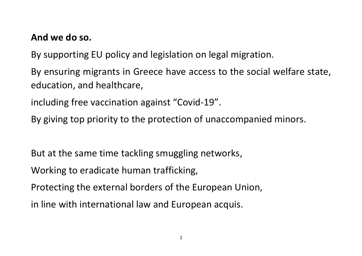#### **And we do so.**

By supporting EU policy and legislation on legal migration.

By ensuring migrants in Greece have access to the social welfare state, education, and healthcare,

including free vaccination against "Covid-19".

By giving top priority to the protection of unaccompanied minors.

But at the same time tackling smuggling networks,

Working to eradicate human trafficking,

Protecting the external borders of the European Union,

in line with international law and European acquis.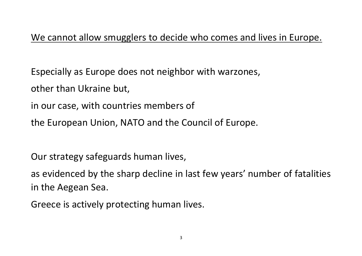## We cannot allow smugglers to decide who comes and lives in Europe.

Especially as Europe does not neighbor with warzones,

other than Ukraine but,

in our case, with countries members of

the European Union, NATO and the Council of Europe.

Our strategy safeguards human lives,

as evidenced by the sharp decline in last few years' number of fatalities in the Aegean Sea.

Greece is actively protecting human lives.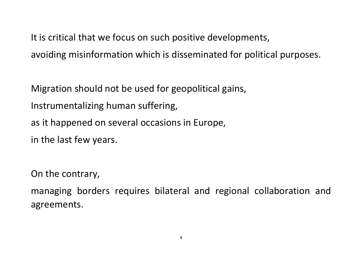It is critical that we focus on such positive developments,

avoiding misinformation which is disseminated for political purposes.

Migration should not be used for geopolitical gains, Instrumentalizing human suffering, as it happened on several occasions in Europe,

in the last few years.

On the contrary,

managing borders requires bilateral and regional collaboration and agreements.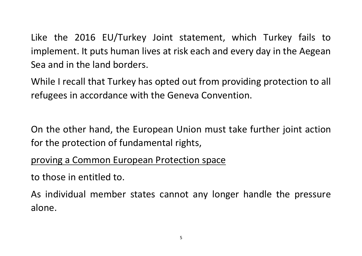Like the 2016 EU/Turkey Joint statement, which Turkey fails to implement. It puts human lives at risk each and every day in the Aegean Sea and in the land borders.

While I recall that Turkey has opted out from providing protection to all refugees in accordance with the Geneva Convention.

On the other hand, the European Union must take further joint action for the protection of fundamental rights,

### proving a Common European Protection space

to those in entitled to.

As individual member states cannot any longer handle the pressure alone.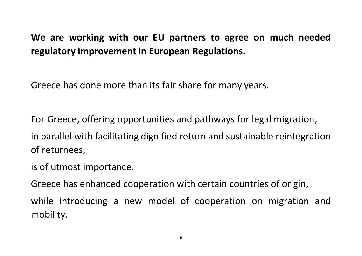# **We are working with our EU partners to agree on much needed regulatory improvement in European Regulations.**

## Greece has done more than its fair share for many years.

For Greece, offering opportunities and pathways for legal migration,

in parallel with facilitating dignified return and sustainable reintegration of returnees,

is of utmost importance.

Greece has enhanced cooperation with certain countries of origin,

while introducing a new model of cooperation on migration and mobility.